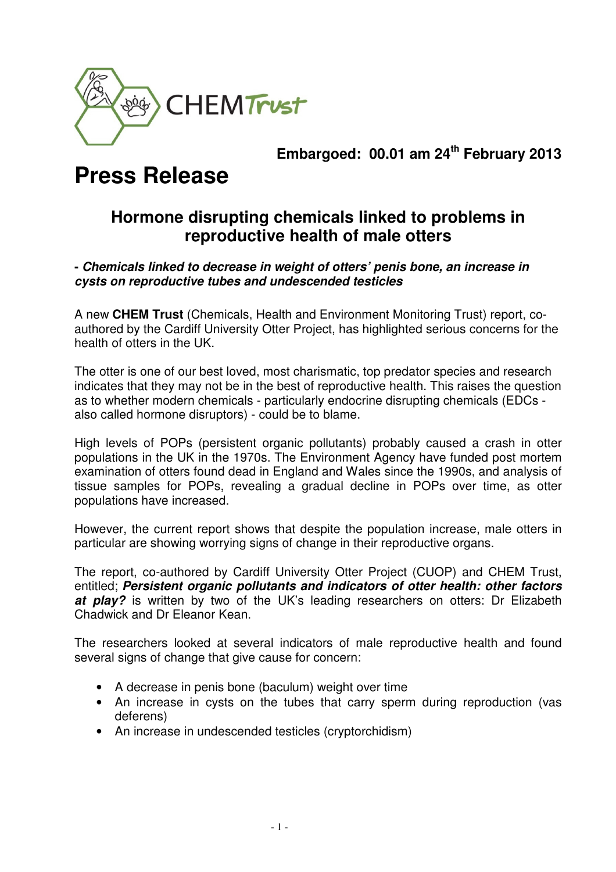

# **Embargoed: 00.01 am 24th February 2013**

# **Press Release**

# **Hormone disrupting chemicals linked to problems in reproductive health of male otters**

## **- Chemicals linked to decrease in weight of otters' penis bone, an increase in cysts on reproductive tubes and undescended testicles**

A new **CHEM Trust** (Chemicals, Health and Environment Monitoring Trust) report, coauthored by the Cardiff University Otter Project, has highlighted serious concerns for the health of otters in the UK.

The otter is one of our best loved, most charismatic, top predator species and research indicates that they may not be in the best of reproductive health. This raises the question as to whether modern chemicals - particularly endocrine disrupting chemicals (EDCs also called hormone disruptors) - could be to blame.

High levels of POPs (persistent organic pollutants) probably caused a crash in otter populations in the UK in the 1970s. The Environment Agency have funded post mortem examination of otters found dead in England and Wales since the 1990s, and analysis of tissue samples for POPs, revealing a gradual decline in POPs over time, as otter populations have increased.

However, the current report shows that despite the population increase, male otters in particular are showing worrying signs of change in their reproductive organs.

The report, co-authored by Cardiff University Otter Project (CUOP) and CHEM Trust, entitled; **Persistent organic pollutants and indicators of otter health: other factors at play?** is written by two of the UK's leading researchers on otters: Dr Elizabeth Chadwick and Dr Eleanor Kean.

The researchers looked at several indicators of male reproductive health and found several signs of change that give cause for concern:

- A decrease in penis bone (baculum) weight over time
- An increase in cysts on the tubes that carry sperm during reproduction (vas deferens)
- An increase in undescended testicles (cryptorchidism)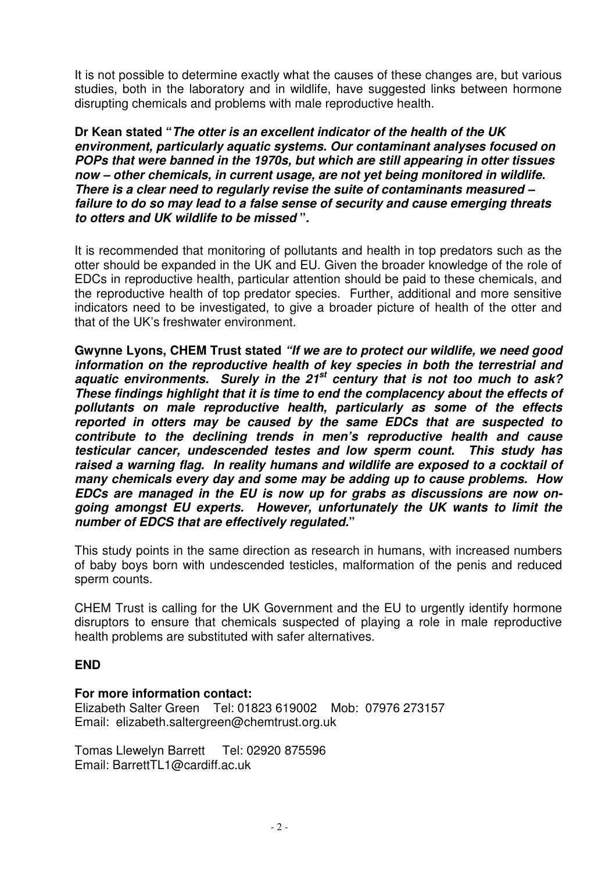It is not possible to determine exactly what the causes of these changes are, but various studies, both in the laboratory and in wildlife, have suggested links between hormone disrupting chemicals and problems with male reproductive health.

**Dr Kean stated "The otter is an excellent indicator of the health of the UK environment, particularly aquatic systems. Our contaminant analyses focused on POPs that were banned in the 1970s, but which are still appearing in otter tissues now – other chemicals, in current usage, are not yet being monitored in wildlife. There is a clear need to regularly revise the suite of contaminants measured – failure to do so may lead to a false sense of security and cause emerging threats to otters and UK wildlife to be missed ".** 

It is recommended that monitoring of pollutants and health in top predators such as the otter should be expanded in the UK and EU. Given the broader knowledge of the role of EDCs in reproductive health, particular attention should be paid to these chemicals, and the reproductive health of top predator species. Further, additional and more sensitive indicators need to be investigated, to give a broader picture of health of the otter and that of the UK's freshwater environment.

**Gwynne Lyons, CHEM Trust stated "If we are to protect our wildlife, we need good information on the reproductive health of key species in both the terrestrial and aquatic environments. Surely in the 21st century that is not too much to ask? These findings highlight that it is time to end the complacency about the effects of pollutants on male reproductive health, particularly as some of the effects reported in otters may be caused by the same EDCs that are suspected to contribute to the declining trends in men's reproductive health and cause testicular cancer, undescended testes and low sperm count. This study has raised a warning flag. In reality humans and wildlife are exposed to a cocktail of many chemicals every day and some may be adding up to cause problems. How EDCs are managed in the EU is now up for grabs as discussions are now ongoing amongst EU experts. However, unfortunately the UK wants to limit the number of EDCS that are effectively regulated."** 

This study points in the same direction as research in humans, with increased numbers of baby boys born with undescended testicles, malformation of the penis and reduced sperm counts.

CHEM Trust is calling for the UK Government and the EU to urgently identify hormone disruptors to ensure that chemicals suspected of playing a role in male reproductive health problems are substituted with safer alternatives.

#### **END**

#### **For more information contact:**

Elizabeth Salter Green Tel: 01823 619002 Mob: 07976 273157 Email: elizabeth.saltergreen@chemtrust.org.uk

Tomas Llewelyn Barrett Tel: 02920 875596 Email: BarrettTL1@cardiff.ac.uk